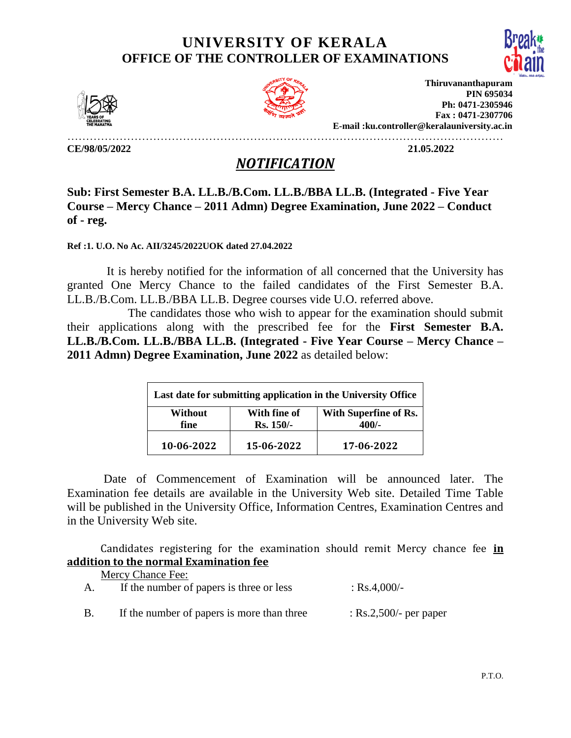## **UNIVERSITY OF KERALA OFFICE OF THE CONTROLLER OF EXAMINATIONS**







**Thiruvananthapuram PIN 695034 Ph: 0471-2305946 Fax : 0471-2307706 E-mail :ku.controller@keralauniversity.ac.in**

………………………………………………………………………………………………………

**CE/98/05/2022 21.05.2022** 

## *NOTIFICATION*

## **Sub: First Semester B.A. LL.B./B.Com. LL.B./BBA LL.B. (Integrated - Five Year Course – Mercy Chance – 2011 Admn) Degree Examination, June 2022 – Conduct of - reg.**

**Ref :1. U.O. No Ac. AII/3245/2022UOK dated 27.04.2022**

 It is hereby notified for the information of all concerned that the University has granted One Mercy Chance to the failed candidates of the First Semester B.A. LL.B./B.Com. LL.B./BBA LL.B. Degree courses vide U.O. referred above.

 The candidates those who wish to appear for the examination should submit their applications along with the prescribed fee for the **First Semester B.A. LL.B./B.Com. LL.B./BBA LL.B. (Integrated - Five Year Course – Mercy Chance – 2011 Admn) Degree Examination, June 2022** as detailed below:

| Last date for submitting application in the University Office |                           |                                |  |  |
|---------------------------------------------------------------|---------------------------|--------------------------------|--|--|
| Without<br>fine                                               | With fine of<br>Rs. 150/- | With Superfine of Rs.<br>400/- |  |  |
| 10-06-2022                                                    | 15-06-2022                | 17-06-2022                     |  |  |

Date of Commencement of Examination will be announced later. The Examination fee details are available in the University Web site. Detailed Time Table will be published in the University Office, Information Centres, Examination Centres and in the University Web site.

Candidates registering for the examination should remit Mercy chance fee **in addition to the normal Examination fee**

| Mercy Chance Fee: |    |                                            |                           |  |
|-------------------|----|--------------------------------------------|---------------------------|--|
|                   |    | If the number of papers is three or less   | : $Rs.4,000/-$            |  |
|                   |    |                                            |                           |  |
|                   | В. | If the number of papers is more than three | : $Rs.2,500/$ - per paper |  |
|                   |    |                                            |                           |  |